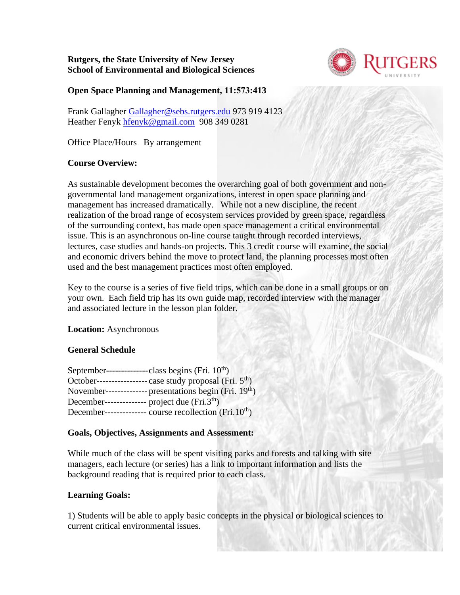**Rutgers, the State University of New Jersey School of Environmental and Biological Sciences** 



## **Open Space Planning and Management, 11:573:413**

Frank Gallagher [Gallagher@sebs.rutgers.edu](mailto:Gallagher@sebs.rutgers.edu) 973 919 4123 Heather Fenyk [hfenyk@gmail.com](mailto:hfenyk@gmail.com) 908 349 0281

Office Place/Hours –By arrangement

## **Course Overview:**

As sustainable development becomes the overarching goal of both government and nongovernmental land management organizations, interest in open space planning and management has increased dramatically. While not a new discipline, the recent realization of the broad range of ecosystem services provided by green space, regardless of the surrounding context, has made open space management a critical environmental issue. This is an asynchronous on-line course taught through recorded interviews, lectures, case studies and hands-on projects. This 3 credit course will examine, the social and economic drivers behind the move to protect land, the planning processes most often used and the best management practices most often employed.

Key to the course is a series of five field trips, which can be done in a small groups or on your own. Each field trip has its own guide map, recorded interview with the manager and associated lecture in the lesson plan folder.

### **Location:** Asynchronous

## **General Schedule**

| -class begins (Fri. $10^{th}$ )<br>September--                                                                                                                                                                                                                                                                                                                                                                                                                                                                                  |
|---------------------------------------------------------------------------------------------------------------------------------------------------------------------------------------------------------------------------------------------------------------------------------------------------------------------------------------------------------------------------------------------------------------------------------------------------------------------------------------------------------------------------------|
| case study proposal (Fri. 5 <sup>th</sup> )<br>October--                                                                                                                                                                                                                                                                                                                                                                                                                                                                        |
| - presentations begin (Fri. 19 <sup>th</sup> )<br>November-                                                                                                                                                                                                                                                                                                                                                                                                                                                                     |
| - project due (Fri.3 <sup>th</sup> )<br>December-<br>$\frac{1}{2} \left( \frac{1}{2} \right) \left( \frac{1}{2} \right) \left( \frac{1}{2} \right) \left( \frac{1}{2} \right) \left( \frac{1}{2} \right) \left( \frac{1}{2} \right) \left( \frac{1}{2} \right) \left( \frac{1}{2} \right) \left( \frac{1}{2} \right) \left( \frac{1}{2} \right) \left( \frac{1}{2} \right) \left( \frac{1}{2} \right) \left( \frac{1}{2} \right) \left( \frac{1}{2} \right) \left( \frac{1}{2} \right) \left( \frac{1}{2} \right) \left( \frac$ |
| course recollection (Fri. $10^{th}$ )<br>December--<br>---------                                                                                                                                                                                                                                                                                                                                                                                                                                                                |
|                                                                                                                                                                                                                                                                                                                                                                                                                                                                                                                                 |

### **Goals, Objectives, Assignments and Assessment:**

While much of the class will be spent visiting parks and forests and talking with site managers, each lecture (or series) has a link to important information and lists the background reading that is required prior to each class.

## **Learning Goals:**

1) Students will be able to apply basic concepts in the physical or biological sciences to current critical environmental issues.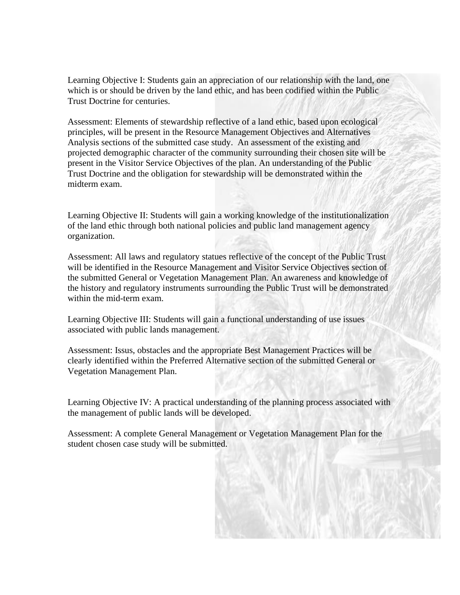Learning Objective I: Students gain an appreciation of our relationship with the land, one which is or should be driven by the land ethic, and has been codified within the Public Trust Doctrine for centuries.

Assessment: Elements of stewardship reflective of a land ethic, based upon ecological principles, will be present in the Resource Management Objectives and Alternatives Analysis sections of the submitted case study. An assessment of the existing and projected demographic character of the community surrounding their chosen site will be present in the Visitor Service Objectives of the plan. An understanding of the Public Trust Doctrine and the obligation for stewardship will be demonstrated within the midterm exam.

Learning Objective II: Students will gain a working knowledge of the institutionalization of the land ethic through both national policies and public land management agency organization.

Assessment: All laws and regulatory statues reflective of the concept of the Public Trust will be identified in the Resource Management and Visitor Service Objectives section of the submitted General or Vegetation Management Plan. An awareness and knowledge of the history and regulatory instruments surrounding the Public Trust will be demonstrated within the mid-term exam.

Learning Objective III: Students will gain a functional understanding of use issues associated with public lands management.

Assessment: Issus, obstacles and the appropriate Best Management Practices will be clearly identified within the Preferred Alternative section of the submitted General or Vegetation Management Plan.

Learning Objective IV: A practical understanding of the planning process associated with the management of public lands will be developed.

Assessment: A complete General Management or Vegetation Management Plan for the student chosen case study will be submitted.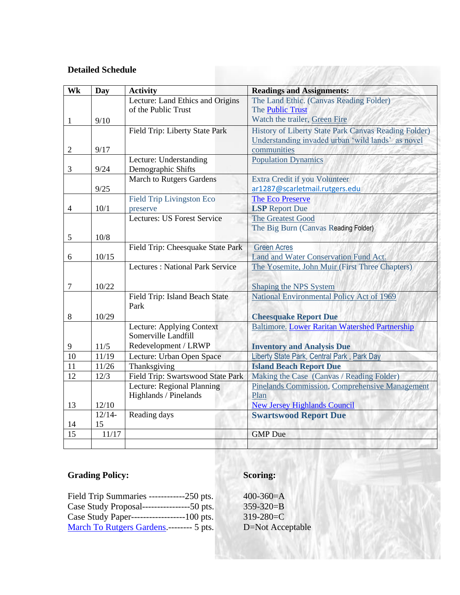## **Detailed Schedule**

| Wk             | <b>Day</b> | <b>Activity</b>                                  | <b>Readings and Assignments:</b>                      |
|----------------|------------|--------------------------------------------------|-------------------------------------------------------|
|                |            | Lecture: Land Ethics and Origins                 | The Land Ethic. (Canvas Reading Folder)               |
|                |            | of the Public Trust                              | The <b>Public Trust</b>                               |
| 1              | 9/10       |                                                  | Watch the trailer, Green Fire                         |
|                |            | Field Trip: Liberty State Park                   | History of Liberty State Park Canvas Reading Folder)  |
|                |            |                                                  | Understanding invaded urban 'wild lands' as novel     |
| $\overline{2}$ | 9/17       |                                                  | communities                                           |
|                |            | Lecture: Understanding                           | <b>Population Dynamics</b>                            |
| 3              | 9/24       | Demographic Shifts                               |                                                       |
|                |            | <b>March to Rutgers Gardens</b>                  | Extra Credit if you Volunteer                         |
|                | 9/25       |                                                  | ar1287@scarletmail.rutgers.edu                        |
|                |            | <b>Field Trip Livingston Eco</b>                 | The Eco Preserve                                      |
| $\overline{4}$ | 10/1       | preserve                                         | <b>LSP</b> Report Due                                 |
|                |            | Lectures: US Forest Service                      | The Greatest Good                                     |
|                |            |                                                  | The Big Burn (Canvas Reading Folder)                  |
| 5              | 10/8       |                                                  |                                                       |
|                |            | Field Trip: Cheesquake State Park                | <b>Green Acres</b>                                    |
| 6              | 10/15      |                                                  | Land and Water Conservation Fund Act.                 |
|                |            | <b>Lectures: National Park Service</b>           | The Yosemite, John Muir (First Three Chapters)        |
|                |            |                                                  |                                                       |
| $\tau$         | 10/22      |                                                  | <b>Shaping the NPS System</b>                         |
|                |            | Field Trip: Island Beach State<br>Park           | National Environmental Policy Act of 1969             |
|                |            |                                                  |                                                       |
| 8              | 10/29      |                                                  | <b>Cheesquake Report Due</b>                          |
|                |            | Lecture: Applying Context<br>Somerville Landfill | Baltimore. Lower Raritan Watershed Partnership        |
|                |            | Redevelopment / LRWP                             |                                                       |
| 9              | 11/5       |                                                  | <b>Inventory and Analysis Due</b>                     |
| 10             | 11/19      | Lecture: Urban Open Space                        | Liberty State Park, Central Park, Park Day            |
| 11<br>12       | 11/26      | Thanksgiving                                     | <b>Island Beach Report Due</b>                        |
|                | 12/3       | Field Trip: Swartswood State Park                | Making the Case (Canvas / Reading Folder)             |
|                |            | Lecture: Regional Planning                       | <b>Pinelands Commission, Comprehensive Management</b> |
| 13             | 12/10      | Highlands / Pinelands                            | Plan<br><b>New Jersey Highlands Council</b>           |
|                | $12/14-$   | Reading days                                     |                                                       |
| 14             | 15         |                                                  | <b>Swartswood Report Due</b>                          |
| 15             | 11/17      |                                                  | <b>GMP</b> Due                                        |
|                |            |                                                  |                                                       |
|                |            |                                                  |                                                       |

11 May 22

# **Grading Policy:**

# **Scoring:**

| Field Trip Summaries ------------250 pts.        | 41 |
|--------------------------------------------------|----|
| Case Study Proposal----------------------50 pts. | 3. |
| Case Study Paper--------------------100 pts.     | 3  |
| March To Rutgers Gardens.-------- 5 pts.         | D  |

 $-00-360=$ A  $359 - 320 = B$  $319-280=C$ D=Not Acceptable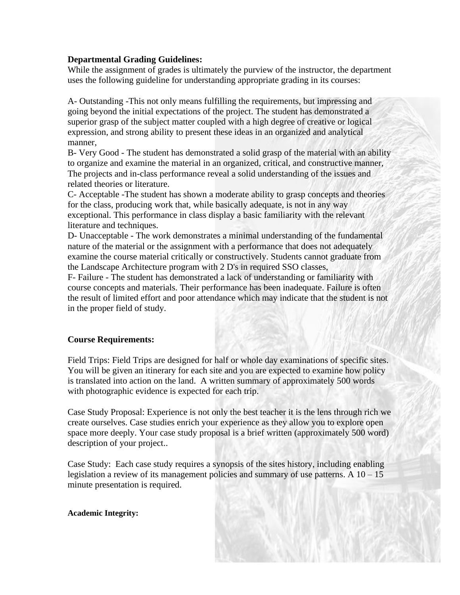### **Departmental Grading Guidelines:**

While the assignment of grades is ultimately the purview of the instructor, the department uses the following guideline for understanding appropriate grading in its courses:

A- Outstanding -This not only means fulfilling the requirements, but impressing and going beyond the initial expectations of the project. The student has demonstrated a superior grasp of the subject matter coupled with a high degree of creative or logical expression, and strong ability to present these ideas in an organized and analytical manner,

B- Very Good - The student has demonstrated a solid grasp of the material with an ability to organize and examine the material in an organized, critical, and constructive manner, The projects and in-class performance reveal a solid understanding of the issues and related theories or literature.

C- Acceptable -The student has shown a moderate ability to grasp concepts and theories for the class, producing work that, while basically adequate, is not in any way exceptional. This performance in class display a basic familiarity with the relevant literature and techniques.

D- Unacceptable - The work demonstrates a minimal understanding of the fundamental nature of the material or the assignment with a performance that does not adequately examine the course material critically or constructively. Students cannot graduate from the Landscape Architecture program with 2 D's in required SSO classes,

F- Failure - The student has demonstrated a lack of understanding or familiarity with course concepts and materials. Their performance has been inadequate. Failure is often the result of limited effort and poor attendance which may indicate that the student is not in the proper field of study.

#### **Course Requirements:**

Field Trips: Field Trips are designed for half or whole day examinations of specific sites. You will be given an itinerary for each site and you are expected to examine how policy is translated into action on the land. A written summary of approximately 500 words with photographic evidence is expected for each trip.

Case Study Proposal: Experience is not only the best teacher it is the lens through rich we create ourselves. Case studies enrich your experience as they allow you to explore open space more deeply. Your case study proposal is a brief written (approximately 500 word) description of your project..

Case Study: Each case study requires a synopsis of the sites history, including enabling legislation a review of its management policies and summary of use patterns. A  $10 - 15$ minute presentation is required.

#### **Academic Integrity:**